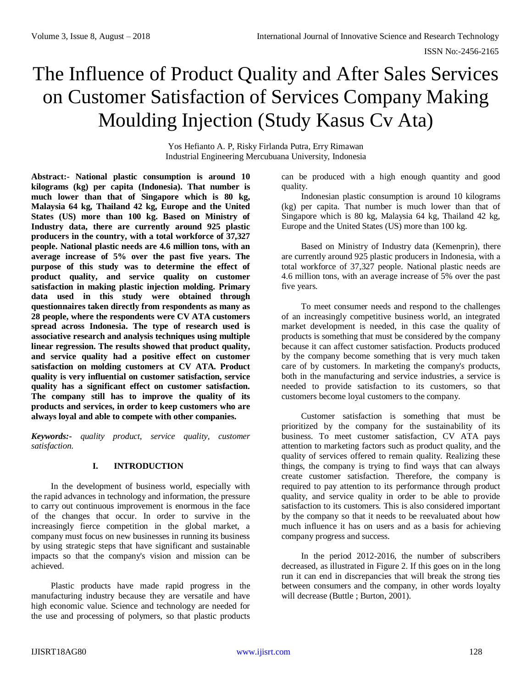# The Influence of Product Quality and After Sales Services on Customer Satisfaction of Services Company Making Moulding Injection (Study Kasus Cv Ata)

Yos Hefianto A. P, Risky Firlanda Putra, Erry Rimawan Industrial Engineering Mercubuana University, Indonesia

**Abstract:- National plastic consumption is around 10 kilograms (kg) per capita (Indonesia). That number is much lower than that of Singapore which is 80 kg, Malaysia 64 kg, Thailand 42 kg, Europe and the United States (US) more than 100 kg. Based on Ministry of Industry data, there are currently around 925 plastic producers in the country, with a total workforce of 37,327 people. National plastic needs are 4.6 million tons, with an average increase of 5% over the past five years. The purpose of this study was to determine the effect of product quality, and service quality on customer satisfaction in making plastic injection molding. Primary data used in this study were obtained through questionnaires taken directly from respondents as many as 28 people, where the respondents were CV ATA customers spread across Indonesia. The type of research used is associative research and analysis techniques using multiple linear regression. The results showed that product quality, and service quality had a positive effect on customer satisfaction on molding customers at CV ATA. Product quality is very influential on customer satisfaction, service quality has a significant effect on customer satisfaction. The company still has to improve the quality of its products and services, in order to keep customers who are always loyal and able to compete with other companies.**

*Keywords:- quality product, service quality, customer satisfaction.*

# **I. INTRODUCTION**

In the development of business world, especially with the rapid advances in technology and information, the pressure to carry out continuous improvement is enormous in the face of the changes that occur. In order to survive in the increasingly fierce competition in the global market, a company must focus on new businesses in running its business by using strategic steps that have significant and sustainable impacts so that the company's vision and mission can be achieved.

Plastic products have made rapid progress in the manufacturing industry because they are versatile and have high economic value. Science and technology are needed for the use and processing of polymers, so that plastic products

can be produced with a high enough quantity and good quality.

Indonesian plastic consumption is around 10 kilograms (kg) per capita. That number is much lower than that of Singapore which is 80 kg, Malaysia 64 kg, Thailand 42 kg, Europe and the United States (US) more than 100 kg.

Based on Ministry of Industry data (Kemenprin), there are currently around 925 plastic producers in Indonesia, with a total workforce of 37,327 people. National plastic needs are 4.6 million tons, with an average increase of 5% over the past five years.

To meet consumer needs and respond to the challenges of an increasingly competitive business world, an integrated market development is needed, in this case the quality of products is something that must be considered by the company because it can affect customer satisfaction. Products produced by the company become something that is very much taken care of by customers. In marketing the company's products, both in the manufacturing and service industries, a service is needed to provide satisfaction to its customers, so that customers become loyal customers to the company.

Customer satisfaction is something that must be prioritized by the company for the sustainability of its business. To meet customer satisfaction, CV ATA pays attention to marketing factors such as product quality, and the quality of services offered to remain quality. Realizing these things, the company is trying to find ways that can always create customer satisfaction. Therefore, the company is required to pay attention to its performance through product quality, and service quality in order to be able to provide satisfaction to its customers. This is also considered important by the company so that it needs to be reevaluated about how much influence it has on users and as a basis for achieving company progress and success.

In the period 2012-2016, the number of subscribers decreased, as illustrated in Figure 2. If this goes on in the long run it can end in discrepancies that will break the strong ties between consumers and the company, in other words loyalty will decrease (Buttle ; Burton, 2001).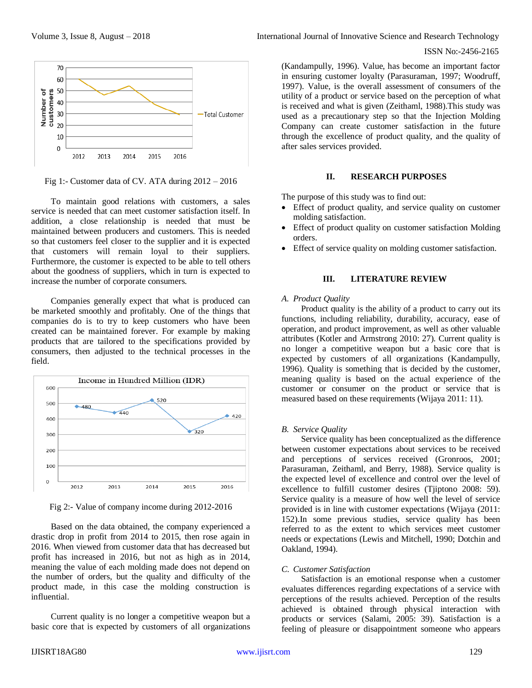

Fig 1:- Customer data of CV. ATA during 2012 – 2016

To maintain good relations with customers, a sales service is needed that can meet customer satisfaction itself. In addition, a close relationship is needed that must be maintained between producers and customers. This is needed so that customers feel closer to the supplier and it is expected that customers will remain loyal to their suppliers. Furthermore, the customer is expected to be able to tell others about the goodness of suppliers, which in turn is expected to increase the number of corporate consumers.

Companies generally expect that what is produced can be marketed smoothly and profitably. One of the things that companies do is to try to keep customers who have been created can be maintained forever. For example by making products that are tailored to the specifications provided by consumers, then adjusted to the technical processes in the field.



Fig 2:- Value of company income during 2012-2016

Based on the data obtained, the company experienced a drastic drop in profit from 2014 to 2015, then rose again in 2016. When viewed from customer data that has decreased but profit has increased in 2016, but not as high as in 2014, meaning the value of each molding made does not depend on the number of orders, but the quality and difficulty of the product made, in this case the molding construction is influential.

Current quality is no longer a competitive weapon but a basic core that is expected by customers of all organizations

Volume 3, Issue 8, August – 2018 **International Journal of Innovative Science and Research Technology** 

(Kandampully, 1996). Value, has become an important factor in ensuring customer loyalty (Parasuraman, 1997; Woodruff, 1997). Value, is the overall assessment of consumers of the utility of a product or service based on the perception of what is received and what is given (Zeithaml, 1988).This study was used as a precautionary step so that the Injection Molding Company can create customer satisfaction in the future through the excellence of product quality, and the quality of after sales services provided.

# **II. RESEARCH PURPOSES**

The purpose of this study was to find out:

- Effect of product quality, and service quality on customer molding satisfaction.
- Effect of product quality on customer satisfaction Molding orders.
- Effect of service quality on molding customer satisfaction.

# **III. LITERATURE REVIEW**

#### *A. Product Quality*

Product quality is the ability of a product to carry out its functions, including reliability, durability, accuracy, ease of operation, and product improvement, as well as other valuable attributes (Kotler and Armstrong 2010: 27). Current quality is no longer a competitive weapon but a basic core that is expected by customers of all organizations (Kandampully, 1996). Quality is something that is decided by the customer, meaning quality is based on the actual experience of the customer or consumer on the product or service that is measured based on these requirements (Wijaya 2011: 11).

# *B. Service Quality*

Service quality has been conceptualized as the difference between customer expectations about services to be received and perceptions of services received (Gronroos, 2001; Parasuraman, Zeithaml, and Berry, 1988). Service quality is the expected level of excellence and control over the level of excellence to fulfill customer desires (Tjiptono 2008: 59). Service quality is a measure of how well the level of service provided is in line with customer expectations (Wijaya (2011: 152).In some previous studies, service quality has been referred to as the extent to which services meet customer needs or expectations (Lewis and Mitchell, 1990; Dotchin and Oakland, 1994).

# *C. Customer Satisfaction*

Satisfaction is an emotional response when a customer evaluates differences regarding expectations of a service with perceptions of the results achieved. Perception of the results achieved is obtained through physical interaction with products or services (Salami, 2005: 39). Satisfaction is a feeling of pleasure or disappointment someone who appears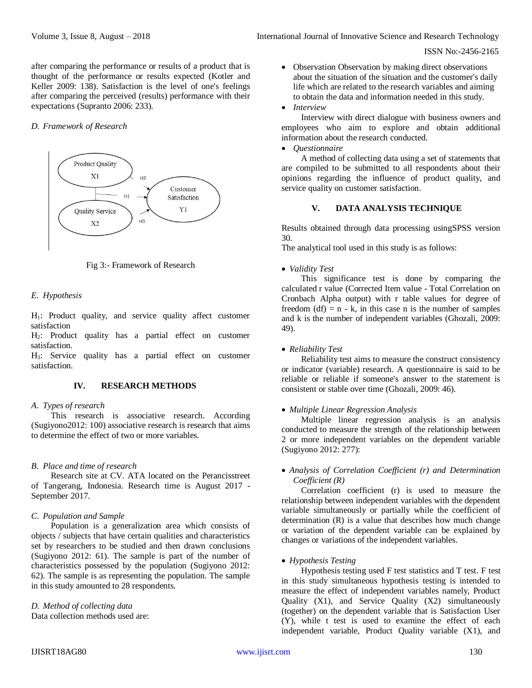ISSN No:-2456-2165

after comparing the performance or results of a product that is thought of the performance or results expected (Kotler and Keller 2009: 138). Satisfaction is the level of one's feelings after comparing the perceived (results) performance with their expectations (Supranto 2006: 233).

#### *D. Framework of Research*



Fig 3:- Framework of Research

#### *E. Hypothesis*

H1: Product quality, and service quality affect customer satisfaction

H2: Product quality has a partial effect on customer satisfaction.

H3: Service quality has a partial effect on customer satisfaction.

# **IV. RESEARCH METHODS**

#### *A. Types of research*

This research is associative research. According (Sugiyono2012: 100) associative research is research that aims to determine the effect of two or more variables.

# *B. Place and time of research*

Research site at CV. ATA located on the Perancisstreet of Tangerang, Indonesia. Research time is August 2017 - September 2017.

# *C. Population and Sample*

Population is a generalization area which consists of objects / subjects that have certain qualities and characteristics set by researchers to be studied and then drawn conclusions (Sugiyono 2012: 61). The sample is part of the number of characteristics possessed by the population (Sugiyono 2012: 62). The sample is as representing the population. The sample in this study amounted to 28 respondents.

# *D. Method of collecting data*

Data collection methods used are:

- Observation Observation by making direct observations about the situation of the situation and the customer's daily life which are related to the research variables and aiming to obtain the data and information needed in this study.
- *Interview*

Interview with direct dialogue with business owners and employees who aim to explore and obtain additional information about the research conducted.

*Questionnaire*

A method of collecting data using a set of statements that are compiled to be submitted to all respondents about their opinions regarding the influence of product quality, and service quality on customer satisfaction.

# **V. DATA ANALYSIS TECHNIQUE**

Results obtained through data processing usingSPSS version 30.

The analytical tool used in this study is as follows:

# *Validity Test*

This significance test is done by comparing the calculated r value (Corrected Item value - Total Correlation on Cronbach Alpha output) with r table values for degree of freedom  $(df) = n - k$ , in this case n is the number of samples and k is the number of independent variables (Ghozali, 2009: 49).

# *Reliability Test*

Reliability test aims to measure the construct consistency or indicator (variable) research. A questionnaire is said to be reliable or reliable if someone's answer to the statement is consistent or stable over time (Ghozali, 2009: 46).

#### *Multiple Linear Regression Analysis*

Multiple linear regression analysis is an analysis conducted to measure the strength of the relationship between 2 or more independent variables on the dependent variable (Sugiyono 2012: 277):

# *Analysis of Correlation Coefficient (r) and Determination Coefficient (R)*

Correlation coefficient (r) is used to measure the relationship between independent variables with the dependent variable simultaneously or partially while the coefficient of determination (R) is a value that describes how much change or variation of the dependent variable can be explained by changes or variations of the independent variables.

# *Hypothesis Testing*

Hypothesis testing used F test statistics and T test. F test in this study simultaneous hypothesis testing is intended to measure the effect of independent variables namely, Product Quality (X1), and Service Quality (X2) simultaneously (together) on the dependent variable that is Satisfaction User (Y), while t test is used to examine the effect of each independent variable, Product Quality variable (X1), and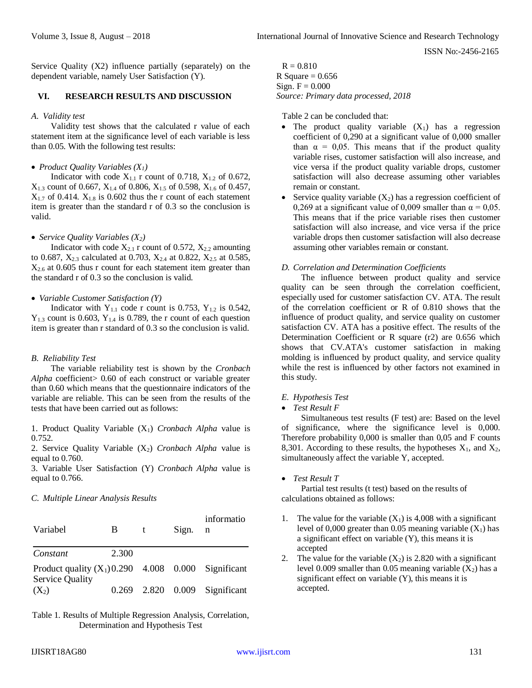ISSN No:-2456-2165

Service Quality (X2) influence partially (separately) on the dependent variable, namely User Satisfaction (Y).

#### **VI. RESEARCH RESULTS AND DISCUSSION**

#### *A. Validity test*

Validity test shows that the calculated r value of each statement item at the significance level of each variable is less than 0.05. With the following test results:

#### *Product Quality Variables (X1)*

Indicator with code  $X_{1,1}$  r count of 0.718,  $X_{1,2}$  of 0.672,  $X_{1,3}$  count of 0.667,  $X_{1,4}$  of 0.806,  $X_{1,5}$  of 0.598,  $X_{1,6}$  of 0.457,  $X_{1,7}$  of 0.414.  $X_{1,8}$  is 0.602 thus the r count of each statement item is greater than the standard r of 0.3 so the conclusion is valid.

#### *Service Quality Variables (X2)*

Indicator with code  $X_{2,1}$  r count of 0.572,  $X_{2,2}$  amounting to 0.687,  $X_{2.3}$  calculated at 0.703,  $X_{2.4}$  at 0.822,  $X_{2.5}$  at 0.585, X2.6 at 0.605 thus r count for each statement item greater than the standard r of 0.3 so the conclusion is valid.

#### *Variable Customer Satisfaction (Y)*

Indicator with  $Y_{1,1}$  code r count is 0.753,  $Y_{1,2}$  is 0.542,  $Y_{1,3}$  count is 0.603,  $Y_{1,4}$  is 0.789, the r count of each question item is greater than r standard of 0.3 so the conclusion is valid.

# *B. Reliability Test*

The variable reliability test is shown by the *Cronbach Alpha* coefficient> 0.60 of each construct or variable greater than 0.60 which means that the questionnaire indicators of the variable are reliable. This can be seen from the results of the tests that have been carried out as follows:

1. Product Quality Variable (X1) *Cronbach Alpha* value is 0.752.

2. Service Quality Variable (X2) *Cronbach Alpha* value is equal to 0.760.

3. Variable User Satisfaction (Y) *Cronbach Alpha* value is equal to 0.766.

*C. Multiple Linear Analysis Results*

| Variabel                                                                       | B     | t | Sign. | informatio<br>n               |
|--------------------------------------------------------------------------------|-------|---|-------|-------------------------------|
| Constant                                                                       | 2.300 |   |       |                               |
| Product quality $(X_1)0.290$ 4.008 0.000 Significant<br><b>Service Quality</b> |       |   |       |                               |
| $(X_2)$                                                                        |       |   |       | 0.269 2.820 0.009 Significant |

Table 1. Results of Multiple Regression Analysis, Correlation, Determination and Hypothesis Test

 $R = 0.810$ R Square  $= 0.656$ Sign.  $F = 0.000$ *Source: Primary data processed, 2018*

Table 2 can be concluded that:

- The product quality variable  $(X_1)$  has a regression coefficient of 0,290 at a significant value of 0,000 smaller than  $\alpha = 0.05$ . This means that if the product quality variable rises, customer satisfaction will also increase, and vice versa if the product quality variable drops, customer satisfaction will also decrease assuming other variables remain or constant.
- Service quality variable  $(X_2)$  has a regression coefficient of 0,269 at a significant value of 0,009 smaller than  $\alpha = 0.05$ . This means that if the price variable rises then customer satisfaction will also increase, and vice versa if the price variable drops then customer satisfaction will also decrease assuming other variables remain or constant.

#### *D. Correlation and Determination Coefficients*

The influence between product quality and service quality can be seen through the correlation coefficient, especially used for customer satisfaction CV. ATA. The result of the correlation coefficient or R of 0.810 shows that the influence of product quality, and service quality on customer satisfaction CV. ATA has a positive effect. The results of the Determination Coefficient or R square (r2) are 0.656 which shows that CV.ATA's customer satisfaction in making molding is influenced by product quality, and service quality while the rest is influenced by other factors not examined in this study.

*E. Hypothesis Test*

# *Test Result F*

Simultaneous test results (F test) are: Based on the level of significance, where the significance level is 0,000. Therefore probability 0,000 is smaller than 0,05 and F counts 8,301. According to these results, the hypotheses  $X_1$ , and  $X_2$ , simultaneously affect the variable Y, accepted.

#### *Test Result T*

Partial test results (t test) based on the results of calculations obtained as follows:

- 1. The value for the variable  $(X_1)$  is 4,008 with a significant level of 0,000 greater than 0.05 meaning variable  $(X_1)$  has a significant effect on variable (Y), this means it is accepted
- 2. The value for the variable  $(X_2)$  is 2.820 with a significant level 0.009 smaller than 0.05 meaning variable  $(X_2)$  has a significant effect on variable (Y), this means it is accepted.